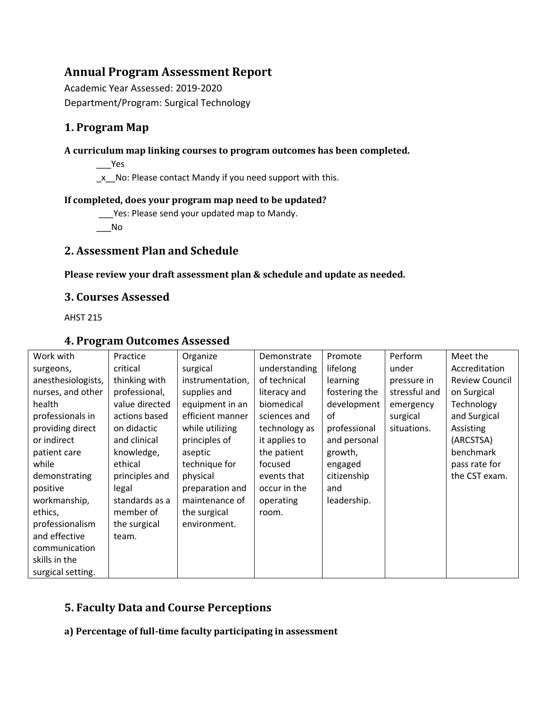# **Annual Program Assessment Report**

Academic Year Assessed: 2019-2020 Department/Program: Surgical Technology

# **1. Program Map**

## **A curriculum map linking courses to program outcomes has been completed.**

 $\rule{1em}{0.15mm}$  Yes

\_x\_\_No: Please contact Mandy if you need support with this.

## **If completed, does your program map need to be updated?**

\_\_\_Yes: Please send your updated map to Mandy.

 $\overline{\phantom{0}}$  No

# **2. Assessment Plan and Schedule**

## **Please review your draft assessment plan & schedule and update as needed.**

# **3. Courses Assessed**

AHST 215

# **4. Program Outcomes Assessed**

| Work with          | Practice       | Organize         | Demonstrate   | Promote       | Perform       | Meet the              |
|--------------------|----------------|------------------|---------------|---------------|---------------|-----------------------|
| surgeons,          | critical       | surgical         | understanding | lifelong      | under         | Accreditation         |
| anesthesiologists, | thinking with  | instrumentation, | of technical  | learning      | pressure in   | <b>Review Council</b> |
| nurses, and other  | professional,  | supplies and     | literacy and  | fostering the | stressful and | on Surgical           |
| health             | value directed | equipment in an  | biomedical    | development   | emergency     | Technology            |
| professionals in   | actions based  | efficient manner | sciences and  | οf            | surgical      | and Surgical          |
| providing direct   | on didactic    | while utilizing  | technology as | professional  | situations.   | Assisting             |
| or indirect        | and clinical   | principles of    | it applies to | and personal  |               | (ARCSTSA)             |
| patient care       | knowledge,     | aseptic          | the patient   | growth,       |               | benchmark             |
| while              | ethical        | technique for    | focused       | engaged       |               | pass rate for         |
| demonstrating      | principles and | physical         | events that   | citizenship   |               | the CST exam.         |
| positive           | legal          | preparation and  | occur in the  | and           |               |                       |
| workmanship,       | standards as a | maintenance of   | operating     | leadership.   |               |                       |
| ethics,            | member of      | the surgical     | room.         |               |               |                       |
| professionalism    | the surgical   | environment.     |               |               |               |                       |
| and effective      | team.          |                  |               |               |               |                       |
| communication      |                |                  |               |               |               |                       |
| skills in the      |                |                  |               |               |               |                       |
| surgical setting.  |                |                  |               |               |               |                       |

# **5. Faculty Data and Course Perceptions**

**a) Percentage of full-time faculty participating in assessment**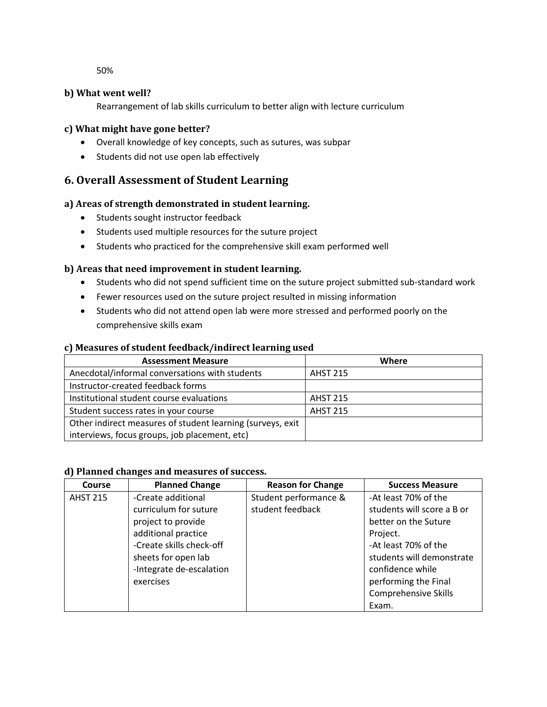50%

#### **b) What went well?**

Rearrangement of lab skills curriculum to better align with lecture curriculum

#### **c) What might have gone better?**

- Overall knowledge of key concepts, such as sutures, was subpar
- Students did not use open lab effectively

# **6. Overall Assessment of Student Learning**

#### **a) Areas of strength demonstrated in student learning.**

- Students sought instructor feedback
- Students used multiple resources for the suture project
- Students who practiced for the comprehensive skill exam performed well

### **b) Areas that need improvement in student learning.**

- Students who did not spend sufficient time on the suture project submitted sub-standard work
- Fewer resources used on the suture project resulted in missing information
- Students who did not attend open lab were more stressed and performed poorly on the comprehensive skills exam

#### **c) Measures of student feedback/indirect learning used**

| <b>Assessment Measure</b>                                  | Where           |  |
|------------------------------------------------------------|-----------------|--|
| Anecdotal/informal conversations with students             | <b>AHST 215</b> |  |
| Instructor-created feedback forms                          |                 |  |
| Institutional student course evaluations                   | <b>AHST 215</b> |  |
| Student success rates in your course                       | <b>AHST 215</b> |  |
| Other indirect measures of student learning (surveys, exit |                 |  |
| interviews, focus groups, job placement, etc)              |                 |  |

#### **d) Planned changes and measures of success.**

| Course          | <b>Planned Change</b>    | <b>Reason for Change</b> | <b>Success Measure</b>      |
|-----------------|--------------------------|--------------------------|-----------------------------|
| <b>AHST 215</b> | -Create additional       | Student performance &    | -At least 70% of the        |
|                 | curriculum for suture    | student feedback         | students will score a B or  |
|                 | project to provide       |                          | better on the Suture        |
|                 | additional practice      |                          | Project.                    |
|                 | -Create skills check-off |                          | -At least 70% of the        |
|                 | sheets for open lab      |                          | students will demonstrate   |
|                 | -Integrate de-escalation |                          | confidence while            |
|                 | exercises                |                          | performing the Final        |
|                 |                          |                          | <b>Comprehensive Skills</b> |
|                 |                          |                          | Exam.                       |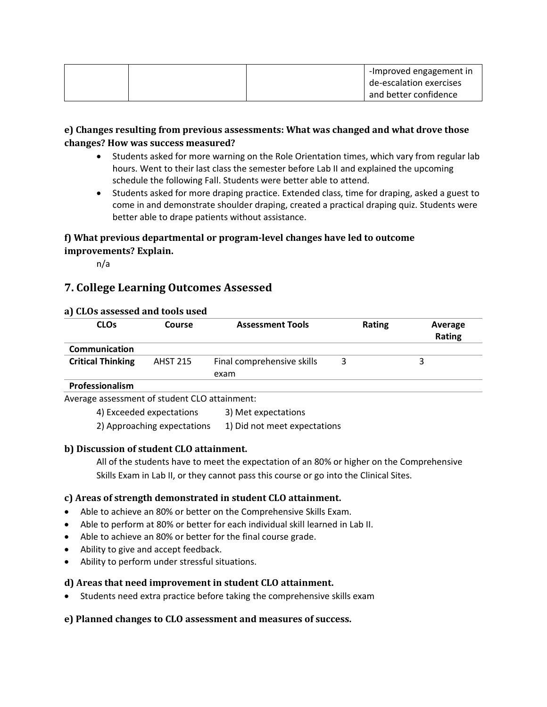|  | -Improved engagement in |
|--|-------------------------|
|  | de-escalation exercises |
|  | and better confidence   |

## **e) Changes resulting from previous assessments: What was changed and what drove those changes? How was success measured?**

- Students asked for more warning on the Role Orientation times, which vary from regular lab hours. Went to their last class the semester before Lab II and explained the upcoming schedule the following Fall. Students were better able to attend.
- Students asked for more draping practice. Extended class, time for draping, asked a guest to come in and demonstrate shoulder draping, created a practical draping quiz. Students were better able to drape patients without assistance.

## **f) What previous departmental or program-level changes have led to outcome improvements? Explain.**

n/a

# **7. College Learning Outcomes Assessed**

### **a) CLOs assessed and tools used**

| <b>CLOs</b>                                          | Course          | <b>Assessment Tools</b>    | Rating | Average<br>Rating |
|------------------------------------------------------|-----------------|----------------------------|--------|-------------------|
| Communication                                        |                 |                            |        |                   |
| <b>Critical Thinking</b>                             | <b>AHST 215</b> | Final comprehensive skills |        | 3                 |
|                                                      |                 | exam                       |        |                   |
| Professionalism                                      |                 |                            |        |                   |
| Average assessment of student $\Omega$ O attainment: |                 |                            |        |                   |

hent of student CLO attair

4) Exceeded expectations 3) Met expectations

2) Approaching expectations 1) Did not meet expectations

## **b) Discussion of student CLO attainment.**

All of the students have to meet the expectation of an 80% or higher on the Comprehensive Skills Exam in Lab II, or they cannot pass this course or go into the Clinical Sites.

### **c) Areas of strength demonstrated in student CLO attainment.**

- Able to achieve an 80% or better on the Comprehensive Skills Exam.
- Able to perform at 80% or better for each individual skill learned in Lab II.
- Able to achieve an 80% or better for the final course grade.
- Ability to give and accept feedback.
- Ability to perform under stressful situations.

### **d) Areas that need improvement in student CLO attainment.**

• Students need extra practice before taking the comprehensive skills exam

### **e) Planned changes to CLO assessment and measures of success.**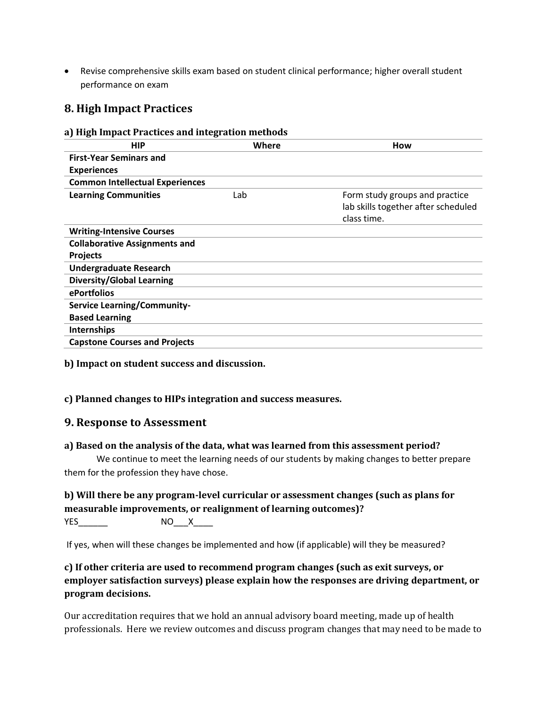• Revise comprehensive skills exam based on student clinical performance; higher overall student performance on exam

# **8. High Impact Practices**

#### **a) High Impact Practices and integration methods**

| <b>HIP</b>                             | Where | How                                                                                  |
|----------------------------------------|-------|--------------------------------------------------------------------------------------|
| <b>First-Year Seminars and</b>         |       |                                                                                      |
| <b>Experiences</b>                     |       |                                                                                      |
| <b>Common Intellectual Experiences</b> |       |                                                                                      |
| <b>Learning Communities</b>            | Lab   | Form study groups and practice<br>lab skills together after scheduled<br>class time. |
| <b>Writing-Intensive Courses</b>       |       |                                                                                      |
| <b>Collaborative Assignments and</b>   |       |                                                                                      |
| <b>Projects</b>                        |       |                                                                                      |
| <b>Undergraduate Research</b>          |       |                                                                                      |
| <b>Diversity/Global Learning</b>       |       |                                                                                      |
| ePortfolios                            |       |                                                                                      |
| <b>Service Learning/Community-</b>     |       |                                                                                      |
| <b>Based Learning</b>                  |       |                                                                                      |
| Internships                            |       |                                                                                      |
| <b>Capstone Courses and Projects</b>   |       |                                                                                      |

**b) Impact on student success and discussion.**

#### **c) Planned changes to HIPs integration and success measures.**

### **9. Response to Assessment**

#### **a) Based on the analysis of the data, what was learned from this assessment period?**

We continue to meet the learning needs of our students by making changes to better prepare them for the profession they have chose.

# **b) Will there be any program-level curricular or assessment changes (such as plans for measurable improvements, or realignment of learning outcomes)?**

YES\_\_\_\_\_\_ NO\_\_\_X\_\_\_\_

If yes, when will these changes be implemented and how (if applicable) will they be measured?

# **c) If other criteria are used to recommend program changes (such as exit surveys, or employer satisfaction surveys) please explain how the responses are driving department, or program decisions.**

Our accreditation requires that we hold an annual advisory board meeting, made up of health professionals. Here we review outcomes and discuss program changes that may need to be made to